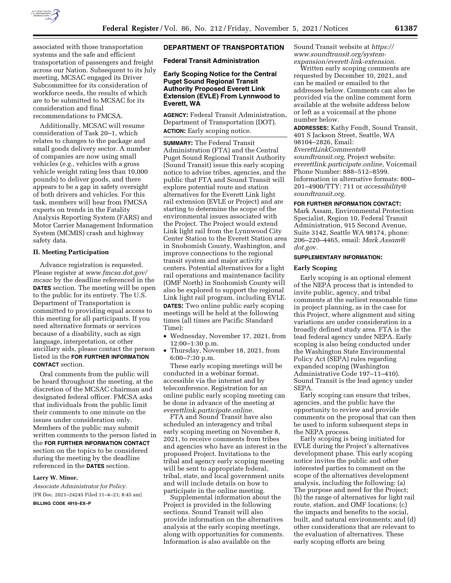

associated with those transportation systems and the safe and efficient transportation of passengers and freight across our Nation. Subsequent to its July meeting, MCSAC engaged its Driver Subcommittee for its consideration of workforce needs, the results of which are to be submitted to MCSAC for its consideration and final recommendations to FMCSA.

Additionally, MCSAC will resume consideration of Task 20–1, which relates to changes to the package and small goods delivery sector. A number of companies are now using small vehicles (*e.g.,* vehicles with a gross vehicle weight rating less than 10,000 pounds) to deliver goods, and there appears to be a gap in safety oversight of both drivers and vehicles. For this task, members will hear from FMCSA experts on trends in the Fatality Analysis Reporting System (FARS) and Motor Carrier Management Information System (MCMIS) crash and highway safety data.

## **II. Meeting Participation**

Advance registration is requested. Please register at *[www.fmcsa.dot.gov/](http://www.fmcsa.dot.gov/mcsac) [mcsac](http://www.fmcsa.dot.gov/mcsac)* by the deadline referenced in the **DATES** section. The meeting will be open to the public for its entirety. The U.S. Department of Transportation is committed to providing equal access to this meeting for all participants. If you need alternative formats or services because of a disability, such as sign language, interpretation, or other ancillary aids, please contact the person listed in the **FOR FURTHER INFORMATION CONTACT** section.

Oral comments from the public will be heard throughout the meeting, at the discretion of the MCSAC chairman and designated federal officer. FMCSA asks that individuals from the public limit their comments to one minute on the issues under consideration only. Members of the public may submit written comments to the person listed in the **FOR FURTHER INFORMATION CONTACT** section on the topics to be considered during the meeting by the deadline referenced in the **DATES** section.

# **Larry W. Minor,**

*Associate Administrator for Policy.*  [FR Doc. 2021–24245 Filed 11–4–21; 8:45 am] **BILLING CODE 4910–EX–P** 

# **DEPARTMENT OF TRANSPORTATION**

**Federal Transit Administration** 

# **Early Scoping Notice for the Central Puget Sound Regional Transit Authority Proposed Everett Link Extension (EVLE) From Lynnwood to Everett, WA**

**AGENCY:** Federal Transit Administration, Department of Transportation (DOT). **ACTION:** Early scoping notice.

**SUMMARY:** The Federal Transit Administration (FTA) and the Central Puget Sound Regional Transit Authority (Sound Transit) issue this early scoping notice to advise tribes, agencies, and the public that FTA and Sound Transit will explore potential route and station alternatives for the Everett Link light rail extension (EVLE or Project) and are starting to determine the scope of the environmental issues associated with the Project. The Project would extend Link light rail from the Lynnwood City Center Station to the Everett Station area in Snohomish County, Washington, and improve connections to the regional transit system and major activity centers. Potential alternatives for a light rail operations and maintenance facility (OMF North) in Snohomish County will also be explored to support the regional Link light rail program, including EVLE. **DATES:** Two online public early scoping meetings will be held at the following times (all times are Pacific Standard Time):

- Wednesday, November 17, 2021, from 12:00–1:30 p.m.
- Thursday, November 18, 2021, from 6:00–7:30 p.m.

These early scoping meetings will be conducted in a webinar format, accessible via the internet and by teleconference. Registration for an online public early scoping meeting can be done in advance of the meeting at *everettlink.participate.online.* 

FTA and Sound Transit have also scheduled an interagency and tribal early scoping meeting on November 8, 2021, to receive comments from tribes and agencies who have an interest in the proposed Project. Invitations to the tribal and agency early scoping meeting will be sent to appropriate federal, tribal, state, and local government units and will include details on how to participate in the online meeting.

Supplemental information about the Project is provided in the following sections. Sound Transit will also provide information on the alternatives analysis at the early scoping meetings, along with opportunities for comments. Information is also available on the

# Sound Transit website at *[https://](https://www.soundtransit.org/system-expansion/everett-link-extension) [www.soundtransit.org/system](https://www.soundtransit.org/system-expansion/everett-link-extension)[expansion/everett-link-extension.](https://www.soundtransit.org/system-expansion/everett-link-extension)*

Written early scoping comments are requested by December 10, 2021, and can be mailed or emailed to the addresses below. Comments can also be provided via the online comment form available at the website address below or left as a voicemail at the phone number below.

**ADDRESSES:** Kathy Fendt, Sound Transit, 401 S Jackson Street, Seattle, WA 98104–2826, Email: *[EverettLinkComments@](mailto:EverettLinkComments@soundtransit.org) [soundtransit.org,](mailto:EverettLinkComments@soundtransit.org)* Project website: *everettlink.participate.online,* Voicemail Phone Number: 888–512–8599. Information in alternative formats: 800– 201–4900/TTY: 711 or *[accessibility@](mailto:accessibility@soundtransit.org) [soundtransit.org.](mailto:accessibility@soundtransit.org)* 

#### **FOR FURTHER INFORMATION CONTACT:**

Mark Assam, Environmental Protection Specialist, Region 10, Federal Transit Administration, 915 Second Avenue, Suite 3142, Seattle WA 98174, phone: 206–220–4465, email: *[Mark.Assam@](mailto:Mark.Assam@dot.gov) [dot.gov.](mailto:Mark.Assam@dot.gov)* 

## **SUPPLEMENTARY INFORMATION:**

## **Early Scoping**

Early scoping is an optional element of the NEPA process that is intended to invite public, agency, and tribal comments at the earliest reasonable time in project planning, as in the case for this Project, where alignment and siting variations are under consideration in a broadly defined study area. FTA is the lead federal agency under NEPA. Early scoping is also being conducted under the Washington State Environmental Policy Act (SEPA) rules regarding expanded scoping (Washington Administrative Code 197–11–410). Sound Transit is the lead agency under SEPA.

Early scoping can ensure that tribes, agencies, and the public have the opportunity to review and provide comments on the proposal that can then be used to inform subsequent steps in the NEPA process.

Early scoping is being initiated for EVLE during the Project's alternatives development phase. This early scoping notice invites the public and other interested parties to comment on the scope of the alternatives development analysis, including the following: (a) The purpose and need for the Project; (b) the range of alternatives for light rail route, station, and OMF locations; (c) the impacts and benefits to the social, built, and natural environments; and (d) other considerations that are relevant to the evaluation of alternatives. These early scoping efforts are being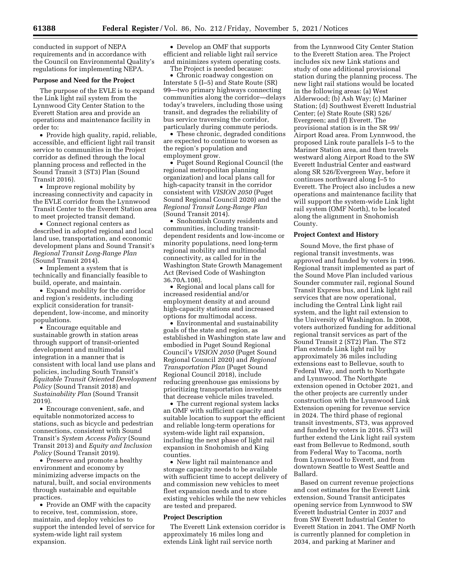conducted in support of NEPA requirements and in accordance with the Council on Environmental Quality's regulations for implementing NEPA.

#### **Purpose and Need for the Project**

The purpose of the EVLE is to expand the Link light rail system from the Lynnwood City Center Station to the Everett Station area and provide an operations and maintenance facility in order to:

• Provide high quality, rapid, reliable, accessible, and efficient light rail transit service to communities in the Project corridor as defined through the local planning process and reflected in the Sound Transit 3 (ST3) Plan (Sound Transit 2016).

• Improve regional mobility by increasing connectivity and capacity in the EVLE corridor from the Lynnwood Transit Center to the Everett Station area to meet projected transit demand.

• Connect regional centers as described in adopted regional and local land use, transportation, and economic development plans and Sound Transit's *Regional Transit Long-Range Plan*  (Sound Transit 2014).

• Implement a system that is technically and financially feasible to build, operate, and maintain.

• Expand mobility for the corridor and region's residents, including explicit consideration for transitdependent, low-income, and minority populations.

• Encourage equitable and sustainable growth in station areas through support of transit-oriented development and multimodal integration in a manner that is consistent with local land use plans and policies, including South Transit's *Equitable Transit Oriented Development Policy* (Sound Transit 2018) and *Sustainability Plan* (Sound Transit 2019).

• Encourage convenient, safe, and equitable nonmotorized access to stations, such as bicycle and pedestrian connections, consistent with Sound Transit's *System Access Policy* (Sound Transit 2013) and *Equity and Inclusion Policy* (Sound Transit 2019).

• Preserve and promote a healthy environment and economy by minimizing adverse impacts on the natural, built, and social environments through sustainable and equitable practices.

• Provide an OMF with the capacity to receive, test, commission, store, maintain, and deploy vehicles to support the intended level of service for system-wide light rail system expansion.

• Develop an OMF that supports efficient and reliable light rail service and minimizes system operating costs. The Project is needed because:

• Chronic roadway congestion on Interstate 5 (I–5) and State Route (SR) 99—two primary highways connecting communities along the corridor—delays today's travelers, including those using transit, and degrades the reliability of bus service traversing the corridor, particularly during commute periods.

• These chronic, degraded conditions are expected to continue to worsen as the region's population and employment grow.

• Puget Sound Regional Council (the regional metropolitan planning organization) and local plans call for high-capacity transit in the corridor consistent with *VISION 2050* (Puget Sound Regional Council 2020) and the *Regional Transit Long-Range Plan*  (Sound Transit 2014).

• Snohomish County residents and communities, including transitdependent residents and low-income or minority populations, need long-term regional mobility and multimodal connectivity, as called for in the Washington State Growth Management Act (Revised Code of Washington 36.70A.108).

• Regional and local plans call for increased residential and/or employment density at and around high-capacity stations and increased options for multimodal access.

• Environmental and sustainability goals of the state and region, as established in Washington state law and embodied in Puget Sound Regional Council's *VISION 2050* (Puget Sound Regional Council 2020) and *Regional Transportation Plan* (Puget Sound Regional Council 2018), include reducing greenhouse gas emissions by prioritizing transportation investments that decrease vehicle miles traveled.

• The current regional system lacks an OMF with sufficient capacity and suitable location to support the efficient and reliable long-term operations for system-wide light rail expansion, including the next phase of light rail expansion in Snohomish and King counties.

• New light rail maintenance and storage capacity needs to be available with sufficient time to accept delivery of and commission new vehicles to meet fleet expansion needs and to store existing vehicles while the new vehicles are tested and prepared.

#### **Project Description**

The Everett Link extension corridor is approximately 16 miles long and extends Link light rail service north

from the Lynnwood City Center Station to the Everett Station area. The Project includes six new Link stations and study of one additional provisional station during the planning process. The new light rail stations would be located in the following areas: (a) West Alderwood; (b) Ash Way; (c) Mariner Station; (d) Southwest Everett Industrial Center; (e) State Route (SR) 526/ Evergreen; and (f) Everett. The provisional station is in the SR 99/ Airport Road area. From Lynnwood, the proposed Link route parallels I–5 to the Mariner Station area, and then travels westward along Airport Road to the SW Everett Industrial Center and eastward along SR 526/Evergreen Way, before it continues northward along I–5 to Everett. The Project also includes a new operations and maintenance facility that will support the system-wide Link light rail system (OMF North), to be located along the alignment in Snohomish County.

## **Project Context and History**

Sound Move, the first phase of regional transit investments, was approved and funded by voters in 1996. Regional transit implemented as part of the Sound Move Plan included various Sounder commuter rail, regional Sound Transit Express bus, and Link light rail services that are now operational, including the Central Link light rail system, and the light rail extension to the University of Washington. In 2008, voters authorized funding for additional regional transit services as part of the Sound Transit 2 (ST2) Plan. The ST2 Plan extends Link light rail by approximately 36 miles including extensions east to Bellevue, south to Federal Way, and north to Northgate and Lynnwood. The Northgate extension opened in October 2021, and the other projects are currently under construction with the Lynnwood Link Extension opening for revenue service in 2024. The third phase of regional transit investments, ST3, was approved and funded by voters in 2016. ST3 will further extend the Link light rail system east from Bellevue to Redmond, south from Federal Way to Tacoma, north from Lynnwood to Everett, and from downtown Seattle to West Seattle and Ballard.

Based on current revenue projections and cost estimates for the Everett Link extension, Sound Transit anticipates opening service from Lynnwood to SW Everett Industrial Center in 2037 and from SW Everett Industrial Center to Everett Station in 2041. The OMF North is currently planned for completion in 2034, and parking at Mariner and